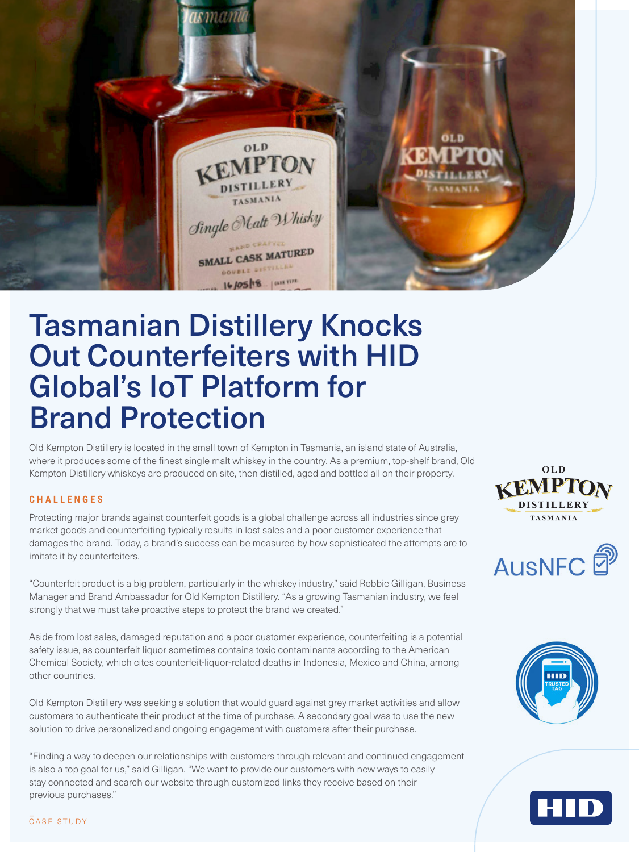

# Tasmanian Distillery Knocks Out Counterfeiters with HID Global's IoT Platform for Brand Protection

Old Kempton Distillery is located in the small town of Kempton in Tasmania, an island state of Australia, where it produces some of the finest single malt whiskey in the country. As a premium, top-shelf brand, Old Kempton Distillery whiskeys are produced on site, then distilled, aged and bottled all on their property.

## **CHALLENGES**

Protecting major brands against counterfeit goods is a global challenge across all industries since grey market goods and counterfeiting typically results in lost sales and a poor customer experience that damages the brand. Today, a brand's success can be measured by how sophisticated the attempts are to imitate it by counterfeiters.

"Counterfeit product is a big problem, particularly in the whiskey industry," said Robbie Gilligan, Business Manager and Brand Ambassador for Old Kempton Distillery. "As a growing Tasmanian industry, we feel strongly that we must take proactive steps to protect the brand we created."

Aside from lost sales, damaged reputation and a poor customer experience, counterfeiting is a potential safety issue, as counterfeit liquor sometimes contains toxic contaminants according to the American Chemical Society, which cites counterfeit-liquor-related deaths in Indonesia, Mexico and China, among other countries.

Old Kempton Distillery was seeking a solution that would guard against grey market activities and allow customers to authenticate their product at the time of purchase. A secondary goal was to use the new solution to drive personalized and ongoing engagement with customers after their purchase.

"Finding a way to deepen our relationships with customers through relevant and continued engagement is also a top goal for us," said Gilligan. "We want to provide our customers with new ways to easily stay connected and search our website through customized links they receive based on their previous purchases."